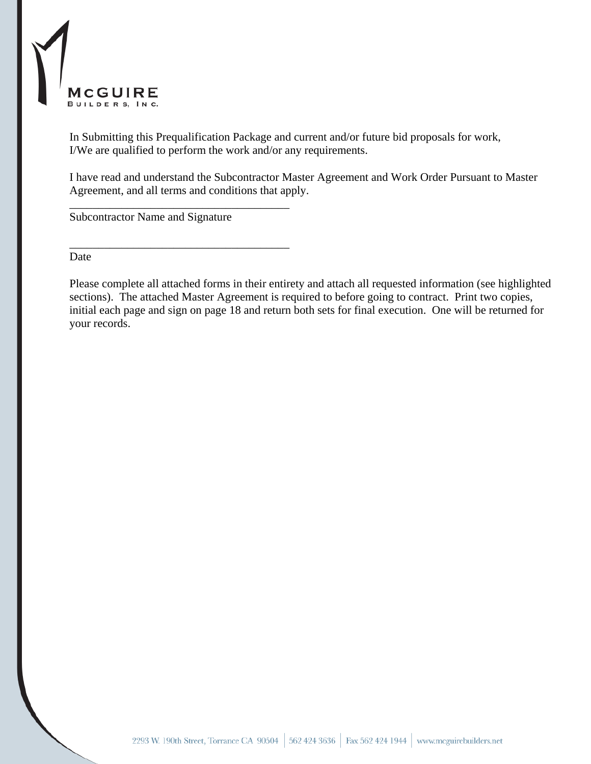

In Submitting this Prequalification Package and current and/or future bid proposals for work, I/We are qualified to perform the work and/or any requirements.

I have read and understand the Subcontractor Master Agreement and Work Order Pursuant to Master Agreement, and all terms and conditions that apply.

Subcontractor Name and Signature

\_\_\_\_\_\_\_\_\_\_\_\_\_\_\_\_\_\_\_\_\_\_\_\_\_\_\_\_\_\_\_\_\_\_\_\_\_\_

\_\_\_\_\_\_\_\_\_\_\_\_\_\_\_\_\_\_\_\_\_\_\_\_\_\_\_\_\_\_\_\_\_\_\_\_\_\_

Date

Please complete all attached forms in their entirety and attach all requested information (see highlighted sections). The attached Master Agreement is required to before going to contract. Print two copies, initial each page and sign on page 18 and return both sets for final execution. One will be returned for your records.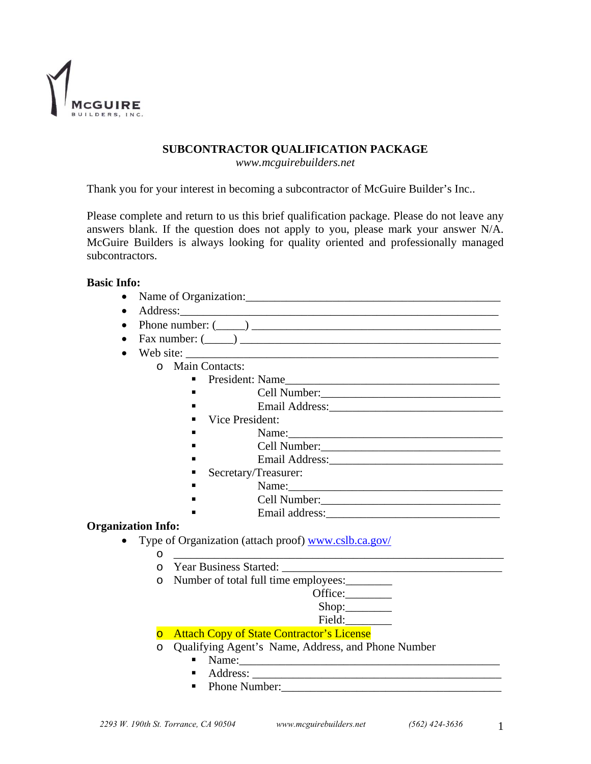

# **SUBCONTRACTOR QUALIFICATION PACKAGE**

*www.mcguirebuilders.net* 

Thank you for your interest in becoming a subcontractor of McGuire Builder's Inc..

Please complete and return to us this brief qualification package. Please do not leave any answers blank. If the question does not apply to you, please mark your answer N/A. McGuire Builders is always looking for quality oriented and professionally managed subcontractors.

## **Basic Info:**

- Name of Organization:\_\_\_\_\_\_\_\_\_\_\_\_\_\_\_\_\_\_\_\_\_\_\_\_\_\_\_\_\_\_\_\_\_\_\_\_\_\_\_\_\_\_\_\_
- Address:\_\_\_\_\_\_\_\_\_\_\_\_\_\_\_\_\_\_\_\_\_\_\_\_\_\_\_\_\_\_\_\_\_\_\_\_\_\_\_\_\_\_\_\_\_\_\_\_\_\_\_\_\_\_\_
- Phone number:  $(\_\_)$
- Fax number: (\_\_\_\_\_) \_\_\_\_\_\_\_\_\_\_\_\_\_\_\_\_\_\_\_\_\_\_\_\_\_\_\_\_\_\_\_\_\_\_\_\_\_\_\_\_\_\_\_\_\_
- Web site:
	- o Main Contacts:
		- President: Name\_\_\_\_\_\_\_\_\_\_\_\_\_\_\_\_\_\_\_\_\_\_\_\_\_\_\_\_\_\_\_\_\_\_\_\_\_
			- $\blacksquare$  Cell Number:
			- Email Address:\_\_\_\_\_\_\_\_\_\_\_\_\_\_\_\_\_\_\_\_\_\_\_\_\_\_\_\_\_\_
			- Vice President:
			- Name:\_\_\_\_\_\_\_\_\_\_\_\_\_\_\_\_\_\_\_\_\_\_\_\_\_\_\_\_\_\_\_\_\_\_\_\_\_ Cell Number:\_\_\_\_\_\_\_\_\_\_\_\_\_\_\_\_\_\_\_\_\_\_\_\_\_\_\_\_\_\_\_
			- Email Address:\_\_\_\_\_\_\_\_\_\_\_\_\_\_\_\_\_\_\_\_\_\_\_\_\_\_\_\_\_\_
		- Secretary/Treasurer:
		- Name:\_\_\_\_\_\_\_\_\_\_\_\_\_\_\_\_\_\_\_\_\_\_\_\_\_\_\_\_\_\_\_\_\_\_\_\_\_
		- Cell Number:\_\_\_\_\_\_\_\_\_\_\_\_\_\_\_\_\_\_\_\_\_\_\_\_\_\_\_\_\_\_\_
		- Email address:\_\_\_\_\_\_\_\_\_\_\_\_\_\_\_\_\_\_\_\_\_\_\_\_\_\_\_\_\_\_

## **Organization Info:**

- Type of Organization (attach proof) www.cslb.ca.gov/
	- o \_\_\_\_\_\_\_\_\_\_\_\_\_\_\_\_\_\_\_\_\_\_\_\_\_\_\_\_\_\_\_\_\_\_\_\_\_\_\_\_\_\_\_\_\_\_\_\_\_\_\_\_\_\_\_\_\_
	- o Year Business Started: \_\_\_\_\_\_\_\_\_\_\_\_\_\_\_\_\_\_\_\_\_\_\_\_\_\_\_\_\_\_\_\_\_\_\_\_\_\_
	- o Number of total full time employees:\_\_\_\_\_\_\_\_

| Office: |  |
|---------|--|
| Shop:   |  |

Field:

## o Attach Copy of State Contractor's License

- o Qualifying Agent's Name, Address, and Phone Number
	- $\blacksquare$  Name:
	- $\blacksquare$  Address:
	- Phone Number: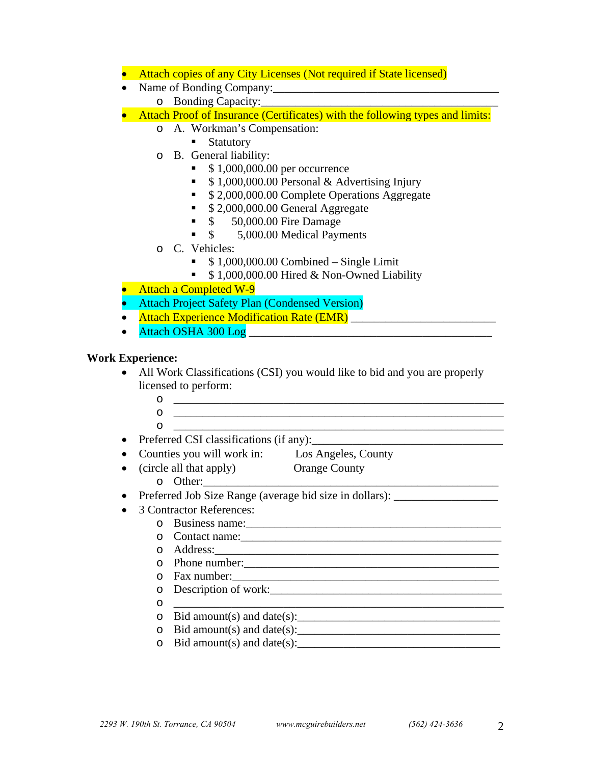- Attach copies of any City Licenses (Not required if State licensed)
- Name of Bonding Company:\_\_\_\_\_\_\_\_\_\_\_\_\_\_\_\_\_\_\_\_\_\_\_\_\_\_\_\_\_\_\_\_\_\_\_\_\_\_\_
	- o Bonding Capacity:
- Attach Proof of Insurance (Certificates) with the following types and limits:
	- o A. Workman's Compensation:
		- **Statutory**
	- o B. General liability:
		- $\bullet$  \$1,000,000.00 per occurrence
		- $\bullet$  \$1,000,000.00 Personal & Advertising Injury
		- <sup>5</sup> \$ 2,000,000.00 Complete Operations Aggregate
		- **5 2,000,000.00 General Aggregate**
		- **S** 50,000.00 Fire Damage
		- \$ 5,000.00 Medical Payments
	- o C. Vehicles:
		- $\bullet$  \$1,000,000.00 Combined Single Limit
		- $\bullet$  \$1,000,000.00 Hired & Non-Owned Liability
- Attach a Completed W-9
- Attach Project Safety Plan (Condensed Version)
- Attach Experience Modification Rate (EMR)
- Attach OSHA 300 Log \_\_\_\_\_\_\_\_\_\_\_\_\_\_\_\_\_\_\_\_\_\_\_\_\_\_\_\_\_\_\_\_\_\_\_\_\_\_\_\_\_\_

# **Work Experience:**

- All Work Classifications (CSI) you would like to bid and you are properly licensed to perform:
	- $\overline{\mathbf{O}}$   $\overline{\mathbf{O}}$   $\overline{\mathbf{O}}$   $\overline{\mathbf{O}}$   $\overline{\mathbf{O}}$   $\overline{\mathbf{O}}$   $\overline{\mathbf{O}}$   $\overline{\mathbf{O}}$   $\overline{\mathbf{O}}$   $\overline{\mathbf{O}}$   $\overline{\mathbf{O}}$   $\overline{\mathbf{O}}$   $\overline{\mathbf{O}}$   $\overline{\mathbf{O}}$   $\overline{\mathbf{O}}$   $\overline{\mathbf{O}}$   $\overline{\mathbf{O}}$   $\overline{\mathbf{O}}$   $\overline{\$  $\circ$  $\circ$
- Preferred CSI classifications (if any):
- Counties you will work in: Los Angeles, County
- (circle all that apply) Orange County
	- o Other:\_\_\_\_\_\_\_\_\_\_\_\_\_\_\_\_\_\_\_\_\_\_\_\_\_\_\_\_\_\_\_\_\_\_\_\_\_\_\_\_\_\_\_\_\_\_\_\_\_\_\_
- Preferred Job Size Range (average bid size in dollars):
- 3 Contractor References:
	- o Business name:\_\_\_\_\_\_\_\_\_\_\_\_\_\_\_\_\_\_\_\_\_\_\_\_\_\_\_\_\_\_\_\_\_\_\_\_\_\_\_\_\_\_\_\_
		- o Contact name:
		- o Address:\_\_\_\_\_\_\_\_\_\_\_\_\_\_\_\_\_\_\_\_\_\_\_\_\_\_\_\_\_\_\_\_\_\_\_\_\_\_\_\_\_\_\_\_\_\_\_\_\_
		- o Phone number:\_\_\_\_\_\_\_\_\_\_\_\_\_\_\_\_\_\_\_\_\_\_\_\_\_\_\_\_\_\_\_\_\_\_\_\_\_\_\_\_\_\_\_\_
		- o Fax number:\_\_\_\_\_\_\_\_\_\_\_\_\_\_\_\_\_\_\_\_\_\_\_\_\_\_\_\_\_\_\_\_\_\_\_\_\_\_\_\_\_\_\_\_\_\_
		- o Description of work:
		- $\circ$
		- o Bid amount(s) and date(s):\_\_\_\_\_\_\_\_\_\_\_\_\_\_\_\_\_\_\_\_\_\_\_\_\_\_\_\_\_\_\_\_\_\_\_
		- o Bid amount(s) and date(s):\_\_\_\_\_\_\_\_\_\_\_\_\_\_\_\_\_\_\_\_\_\_\_\_\_\_\_\_\_\_\_\_\_\_\_
		- $\circ$  Bid amount(s) and date(s):